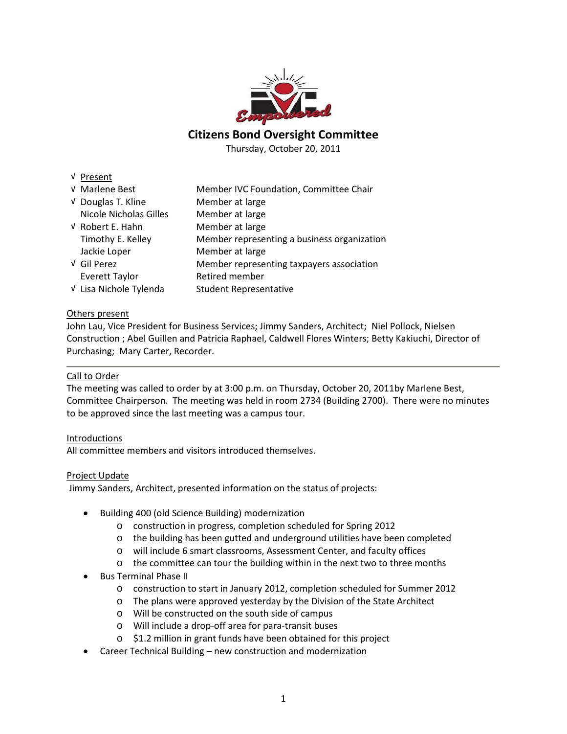

**Citizens Bond Oversight Committee**

Thursday, October 20, 2011

| 'resent |
|---------|
|---------|

| √ Marlene Best                | Member IVC Foundation, Committee Chair      |
|-------------------------------|---------------------------------------------|
| √ Douglas T. Kline            | Member at large                             |
| <b>Nicole Nicholas Gilles</b> | Member at large                             |
| V Robert E. Hahn              | Member at large                             |
| Timothy E. Kelley             | Member representing a business organization |
| Jackie Loper                  | Member at large                             |
| √ Gil Perez                   | Member representing taxpayers association   |
| <b>Everett Taylor</b>         | Retired member                              |
| V Lisa Nichole Tylenda        | <b>Student Representative</b>               |

# Others present

John Lau, Vice President for Business Services; Jimmy Sanders, Architect; Niel Pollock, Nielsen Construction ; Abel Guillen and Patricia Raphael, Caldwell Flores Winters; Betty Kakiuchi, Director of Purchasing; Mary Carter, Recorder.

## Call to Order

The meeting was called to order by at 3:00 p.m. on Thursday, October 20, 2011by Marlene Best, Committee Chairperson. The meeting was held in room 2734 (Building 2700). There were no minutes to be approved since the last meeting was a campus tour.

# Introductions

All committee members and visitors introduced themselves.

# Project Update

Jimmy Sanders, Architect, presented information on the status of projects:

- Building 400 (old Science Building) modernization
	- o construction in progress, completion scheduled for Spring 2012
	- o the building has been gutted and underground utilities have been completed
	- o will include 6 smart classrooms, Assessment Center, and faculty offices
	- o the committee can tour the building within in the next two to three months
- Bus Terminal Phase II
	- o construction to start in January 2012, completion scheduled for Summer 2012
	- o The plans were approved yesterday by the Division of the State Architect
	- o Will be constructed on the south side of campus
	- o Will include a drop-off area for para-transit buses
	- o \$1.2 million in grant funds have been obtained for this project
- Career Technical Building new construction and modernization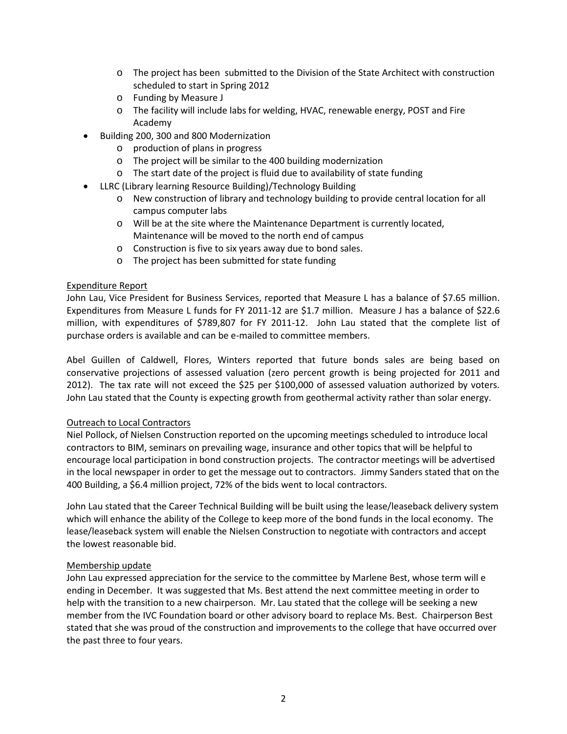- o The project has been submitted to the Division of the State Architect with construction scheduled to start in Spring 2012
- o Funding by Measure J
- o The facility will include labs for welding, HVAC, renewable energy, POST and Fire Academy
- Building 200, 300 and 800 Modernization
	- o production of plans in progress
	- o The project will be similar to the 400 building modernization
	- o The start date of the project is fluid due to availability of state funding
- LLRC (Library learning Resource Building)/Technology Building
	- o New construction of library and technology building to provide central location for all campus computer labs
	- o Will be at the site where the Maintenance Department is currently located, Maintenance will be moved to the north end of campus
	- o Construction is five to six years away due to bond sales.
	- o The project has been submitted for state funding

# Expenditure Report

John Lau, Vice President for Business Services, reported that Measure L has a balance of \$7.65 million. Expenditures from Measure L funds for FY 2011-12 are \$1.7 million. Measure J has a balance of \$22.6 million, with expenditures of \$789,807 for FY 2011-12. John Lau stated that the complete list of purchase orders is available and can be e-mailed to committee members.

Abel Guillen of Caldwell, Flores, Winters reported that future bonds sales are being based on conservative projections of assessed valuation (zero percent growth is being projected for 2011 and 2012). The tax rate will not exceed the \$25 per \$100,000 of assessed valuation authorized by voters. John Lau stated that the County is expecting growth from geothermal activity rather than solar energy.

# Outreach to Local Contractors

Niel Pollock, of Nielsen Construction reported on the upcoming meetings scheduled to introduce local contractors to BIM, seminars on prevailing wage, insurance and other topics that will be helpful to encourage local participation in bond construction projects. The contractor meetings will be advertised in the local newspaper in order to get the message out to contractors. Jimmy Sanders stated that on the 400 Building, a \$6.4 million project, 72% of the bids went to local contractors.

John Lau stated that the Career Technical Building will be built using the lease/leaseback delivery system which will enhance the ability of the College to keep more of the bond funds in the local economy. The lease/leaseback system will enable the Nielsen Construction to negotiate with contractors and accept the lowest reasonable bid.

# Membership update

John Lau expressed appreciation for the service to the committee by Marlene Best, whose term will e ending in December. It was suggested that Ms. Best attend the next committee meeting in order to help with the transition to a new chairperson. Mr. Lau stated that the college will be seeking a new member from the IVC Foundation board or other advisory board to replace Ms. Best. Chairperson Best stated that she was proud of the construction and improvements to the college that have occurred over the past three to four years.